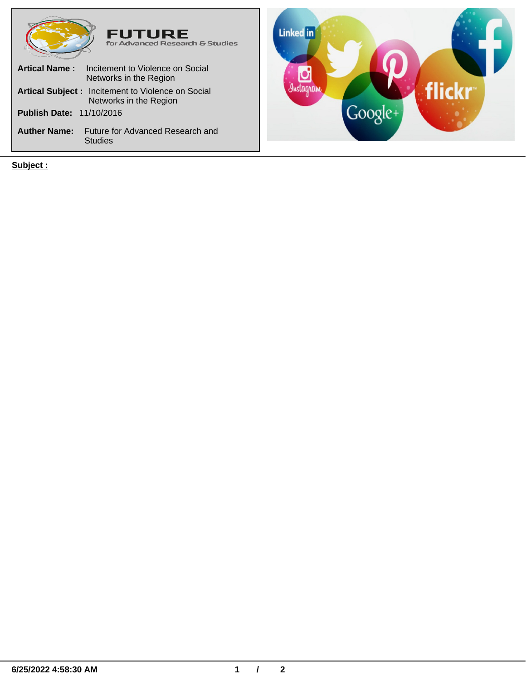| <b>FUTURE</b><br>for Advanced Research & Studies                                   |
|------------------------------------------------------------------------------------|
| <b>Artical Name:</b><br>Incitement to Violence on Social<br>Networks in the Region |
| <b>Artical Subject:</b> Incitement to Violence on Social<br>Networks in the Region |
| <b>Publish Date: 11/10/2016</b>                                                    |
| <b>Auther Name:</b><br>Future for Advanced Research and<br><b>Studies</b>          |

**Subject :**